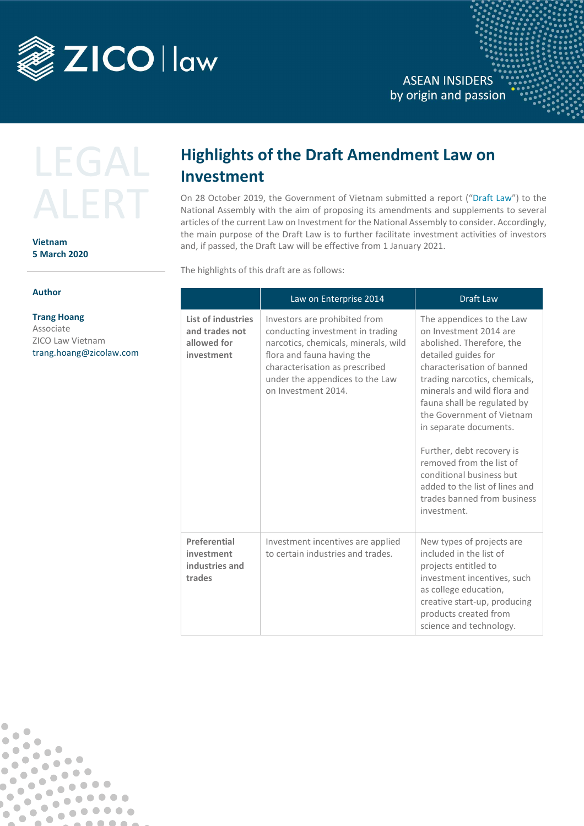

**ASEAN INSIDERS** by origin and passion



**Vietnam 5 March 2020**

## **Author**

 $\overline{\phantom{a}}$ 

 $\overline{\phantom{a}}$ 

 $\bullet$ 

 $\bullet$ 

 $\bullet$ 

 $\bullet$ 

 $\bullet$  $\overline{\phantom{a}}$ 

 $\bullet$ 

 $\sqrt{2}$ 

 $\bullet$ 

 $\bullet$  $\bullet$  $\blacksquare$ 

 $\bullet$ 

 $\sqrt{2}$ 

 $\bullet$ 

 $\qquad \qquad \blacksquare$ 

 $\bullet$ 

 $\begin{array}{c} \bullet \\ \bullet \end{array}$ 

 $\bullet$  $\bullet$ 

 $\bullet$ 

 $\bullet$ 

 $\bullet$ 

 $\bullet$ 

 $\bullet\bullet\bullet\bullet$ 

 $000000$ 

 $0.00000$ 

. . .

 $\sqrt{2}$ 

 $\bullet$ 

 $\blacksquare$ 

 $\bullet$  $\bullet$ 

O

**Trang Hoang**  Associate ZICO Law Vietnam [trang.hoang@zicolaw.com](mailto:trang.hoang@zicolaw.com)

## **Highlights of the Draft Amendment Law on Investment**

On 28 October 2019, the Government of Vietnam submitted a report ("Draft Law") to the National Assembly with the aim of proposing its amendments and supplements to several articles of the current Law on Investment for the National Assembly to consider. Accordingly, the main purpose of the Draft Law is to further facilitate investment activities of investors and, if passed, the Draft Law will be effective from 1 January 2021.

The highlights of this draft are as follows:

|                                                                   | Law on Enterprise 2014                                                                                                                                                                                                              | <b>Draft Law</b>                                                                                                                                                                                                                                                                                                                                                                                                                                                 |
|-------------------------------------------------------------------|-------------------------------------------------------------------------------------------------------------------------------------------------------------------------------------------------------------------------------------|------------------------------------------------------------------------------------------------------------------------------------------------------------------------------------------------------------------------------------------------------------------------------------------------------------------------------------------------------------------------------------------------------------------------------------------------------------------|
| List of industries<br>and trades not<br>allowed for<br>investment | Investors are prohibited from<br>conducting investment in trading<br>narcotics, chemicals, minerals, wild<br>flora and fauna having the<br>characterisation as prescribed<br>under the appendices to the Law<br>on Investment 2014. | The appendices to the Law<br>on Investment 2014 are<br>abolished. Therefore, the<br>detailed guides for<br>characterisation of banned<br>trading narcotics, chemicals,<br>minerals and wild flora and<br>fauna shall be regulated by<br>the Government of Vietnam<br>in separate documents.<br>Further, debt recovery is<br>removed from the list of<br>conditional business but<br>added to the list of lines and<br>trades banned from business<br>investment. |
| Preferential<br>investment<br>industries and<br>trades            | Investment incentives are applied<br>to certain industries and trades.                                                                                                                                                              | New types of projects are<br>included in the list of<br>projects entitled to<br>investment incentives, such<br>as college education,<br>creative start-up, producing<br>products created from<br>science and technology.                                                                                                                                                                                                                                         |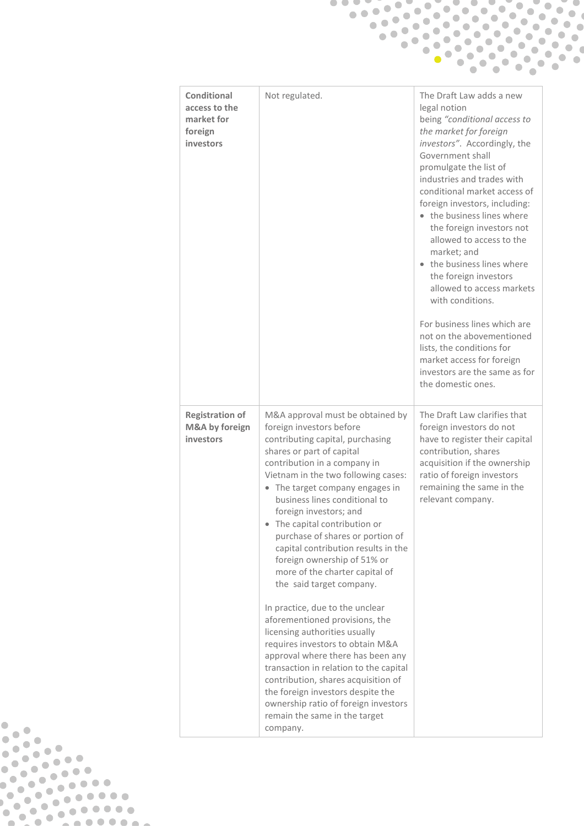|                                                                    | $\bullet^\bullet$                                                                                                                                                                                                                                                                                                                                                                                                                                                                                                                                                                                                                                                                                                                                                                                                                                                                                     |                                                                                                                                                                                                                                                                                                                                                                                                                                                                                                                                                                                                                                                                             |  |  |  |
|--------------------------------------------------------------------|-------------------------------------------------------------------------------------------------------------------------------------------------------------------------------------------------------------------------------------------------------------------------------------------------------------------------------------------------------------------------------------------------------------------------------------------------------------------------------------------------------------------------------------------------------------------------------------------------------------------------------------------------------------------------------------------------------------------------------------------------------------------------------------------------------------------------------------------------------------------------------------------------------|-----------------------------------------------------------------------------------------------------------------------------------------------------------------------------------------------------------------------------------------------------------------------------------------------------------------------------------------------------------------------------------------------------------------------------------------------------------------------------------------------------------------------------------------------------------------------------------------------------------------------------------------------------------------------------|--|--|--|
|                                                                    |                                                                                                                                                                                                                                                                                                                                                                                                                                                                                                                                                                                                                                                                                                                                                                                                                                                                                                       |                                                                                                                                                                                                                                                                                                                                                                                                                                                                                                                                                                                                                                                                             |  |  |  |
|                                                                    |                                                                                                                                                                                                                                                                                                                                                                                                                                                                                                                                                                                                                                                                                                                                                                                                                                                                                                       |                                                                                                                                                                                                                                                                                                                                                                                                                                                                                                                                                                                                                                                                             |  |  |  |
|                                                                    |                                                                                                                                                                                                                                                                                                                                                                                                                                                                                                                                                                                                                                                                                                                                                                                                                                                                                                       |                                                                                                                                                                                                                                                                                                                                                                                                                                                                                                                                                                                                                                                                             |  |  |  |
|                                                                    |                                                                                                                                                                                                                                                                                                                                                                                                                                                                                                                                                                                                                                                                                                                                                                                                                                                                                                       |                                                                                                                                                                                                                                                                                                                                                                                                                                                                                                                                                                                                                                                                             |  |  |  |
|                                                                    |                                                                                                                                                                                                                                                                                                                                                                                                                                                                                                                                                                                                                                                                                                                                                                                                                                                                                                       |                                                                                                                                                                                                                                                                                                                                                                                                                                                                                                                                                                                                                                                                             |  |  |  |
| Conditional<br>access to the<br>market for<br>foreign<br>investors | Not regulated.                                                                                                                                                                                                                                                                                                                                                                                                                                                                                                                                                                                                                                                                                                                                                                                                                                                                                        | The Draft Law adds a new<br>legal notion<br>being "conditional access to<br>the market for foreign<br>investors". Accordingly, the<br>Government shall<br>promulgate the list of<br>industries and trades with<br>conditional market access of<br>foreign investors, including:<br>• the business lines where<br>the foreign investors not<br>allowed to access to the<br>market; and<br>• the business lines where<br>the foreign investors<br>allowed to access markets<br>with conditions.<br>For business lines which are<br>not on the abovementioned<br>lists, the conditions for<br>market access for foreign<br>investors are the same as for<br>the domestic ones. |  |  |  |
| <b>Registration of</b><br>M&A by foreign<br>investors              | M&A approval must be obtained by<br>foreign investors before<br>contributing capital, purchasing<br>shares or part of capital<br>contribution in a company in<br>Vietnam in the two following cases:<br>• The target company engages in<br>business lines conditional to<br>foreign investors; and<br>• The capital contribution or<br>purchase of shares or portion of<br>capital contribution results in the<br>foreign ownership of 51% or<br>more of the charter capital of<br>the said target company.<br>In practice, due to the unclear<br>aforementioned provisions, the<br>licensing authorities usually<br>requires investors to obtain M&A<br>approval where there has been any<br>transaction in relation to the capital<br>contribution, shares acquisition of<br>the foreign investors despite the<br>ownership ratio of foreign investors<br>remain the same in the target<br>company. | The Draft Law clarifies that<br>foreign investors do not<br>have to register their capital<br>contribution, shares<br>acquisition if the ownership<br>ratio of foreign investors<br>remaining the same in the<br>relevant company.                                                                                                                                                                                                                                                                                                                                                                                                                                          |  |  |  |

**PARK OF PRINT**